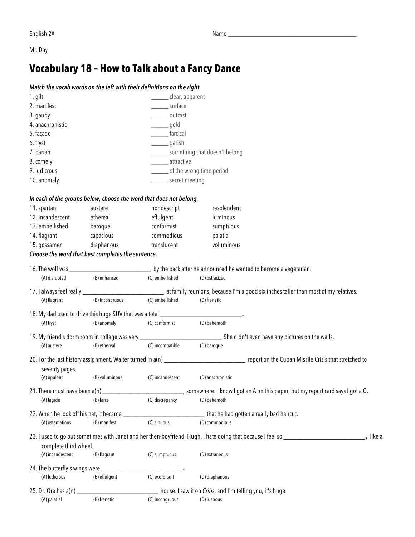Mr. Day

## **Vocabulary 18 – How to Talk about a Fancy Dance**

## *Match the vocab words on the left with their definitions on the right.*

| 1. gilt                                           |                         | _____ clear, apparent                                                                                                                                                                                                                                                                                                                                                                                                |                                                                                                                                                 |           |
|---------------------------------------------------|-------------------------|----------------------------------------------------------------------------------------------------------------------------------------------------------------------------------------------------------------------------------------------------------------------------------------------------------------------------------------------------------------------------------------------------------------------|-------------------------------------------------------------------------------------------------------------------------------------------------|-----------|
| 2. manifest                                       |                         | surface                                                                                                                                                                                                                                                                                                                                                                                                              |                                                                                                                                                 |           |
| 3. gaudy                                          |                         | outcast                                                                                                                                                                                                                                                                                                                                                                                                              |                                                                                                                                                 |           |
| 4. anachronistic                                  |                         | $\frac{1}{\sqrt{1-\frac{1}{2}}\sqrt{1-\frac{1}{2}}\sqrt{1-\frac{1}{2}}\sqrt{1-\frac{1}{2}}\sqrt{1-\frac{1}{2}}\sqrt{1-\frac{1}{2}}\sqrt{1-\frac{1}{2}}\sqrt{1-\frac{1}{2}}\sqrt{1-\frac{1}{2}}\sqrt{1-\frac{1}{2}}\sqrt{1-\frac{1}{2}}\sqrt{1-\frac{1}{2}}\sqrt{1-\frac{1}{2}}\sqrt{1-\frac{1}{2}}\sqrt{1-\frac{1}{2}}\sqrt{1-\frac{1}{2}}\sqrt{1-\frac{1}{2}}\sqrt{1-\frac{1}{2}}\sqrt{1-\frac{1}{2}}\sqrt{1-\frac$ |                                                                                                                                                 |           |
| 5. façade                                         |                         | ________ farcical                                                                                                                                                                                                                                                                                                                                                                                                    |                                                                                                                                                 |           |
| 6. tryst                                          |                         | _________ garish                                                                                                                                                                                                                                                                                                                                                                                                     |                                                                                                                                                 |           |
| 7. pariah                                         |                         |                                                                                                                                                                                                                                                                                                                                                                                                                      | _______ something that doesn't belong                                                                                                           |           |
| 8. comely                                         |                         | ________ attractive                                                                                                                                                                                                                                                                                                                                                                                                  |                                                                                                                                                 |           |
| 9. ludicrous                                      |                         |                                                                                                                                                                                                                                                                                                                                                                                                                      | _____ of the wrong time period                                                                                                                  |           |
| 10. anomaly                                       |                         |                                                                                                                                                                                                                                                                                                                                                                                                                      | _______ secret meeting                                                                                                                          |           |
|                                                   |                         | In each of the groups below, choose the word that does not belong.                                                                                                                                                                                                                                                                                                                                                   |                                                                                                                                                 |           |
| 11. spartan                                       | austere                 | nondescript                                                                                                                                                                                                                                                                                                                                                                                                          | resplendent                                                                                                                                     |           |
| 12. incandescent                                  | ethereal                | effulgent                                                                                                                                                                                                                                                                                                                                                                                                            | luminous                                                                                                                                        |           |
| 13. embellished                                   | baroque and the baroque | conformist                                                                                                                                                                                                                                                                                                                                                                                                           | sumptuous                                                                                                                                       |           |
| 14. flagrant                                      | capacious               | commodious                                                                                                                                                                                                                                                                                                                                                                                                           | palatial                                                                                                                                        |           |
| 15. gossamer                                      | diaphanous              | translucent                                                                                                                                                                                                                                                                                                                                                                                                          | voluminous                                                                                                                                      |           |
| Choose the word that best completes the sentence. |                         |                                                                                                                                                                                                                                                                                                                                                                                                                      |                                                                                                                                                 |           |
|                                                   |                         |                                                                                                                                                                                                                                                                                                                                                                                                                      |                                                                                                                                                 |           |
| (A) disrupted                                     | (B) enhanced            | (C) embellished                                                                                                                                                                                                                                                                                                                                                                                                      | (D) ostracized                                                                                                                                  |           |
|                                                   |                         |                                                                                                                                                                                                                                                                                                                                                                                                                      |                                                                                                                                                 |           |
| (A) flagrant                                      | (B) incongruous         | (C) embellished                                                                                                                                                                                                                                                                                                                                                                                                      | (D) frenetic                                                                                                                                    |           |
|                                                   |                         |                                                                                                                                                                                                                                                                                                                                                                                                                      |                                                                                                                                                 |           |
| (A) tryst                                         | (B) anomaly             | (C) conformist                                                                                                                                                                                                                                                                                                                                                                                                       | (D) behemoth                                                                                                                                    |           |
|                                                   |                         |                                                                                                                                                                                                                                                                                                                                                                                                                      | 19. My friend's dorm room in college was very _________________________________ She didn't even have any pictures on the walls.                 |           |
| (A) austere                                       | (B) ethereal            | (C) incompatible                                                                                                                                                                                                                                                                                                                                                                                                     | (D) baroque                                                                                                                                     |           |
|                                                   |                         |                                                                                                                                                                                                                                                                                                                                                                                                                      | 20. For the last history assignment, Walter turned in a(n) _______________________________ report on the Cuban Missile Crisis that stretched to |           |
| seventy pages.                                    | (B) voluminous          |                                                                                                                                                                                                                                                                                                                                                                                                                      |                                                                                                                                                 |           |
| (A) opulent                                       |                         | (C) incandescent                                                                                                                                                                                                                                                                                                                                                                                                     | (D) anachronistic                                                                                                                               |           |
|                                                   |                         |                                                                                                                                                                                                                                                                                                                                                                                                                      |                                                                                                                                                 |           |
| (A) façade                                        | (B) farce               | (C) discrepancy                                                                                                                                                                                                                                                                                                                                                                                                      | (D) behemoth                                                                                                                                    |           |
|                                                   |                         |                                                                                                                                                                                                                                                                                                                                                                                                                      | 22. When he look off his hat, it became ______________________________that he had gotten a really bad haircut.                                  |           |
| (A) ostentatious                                  | (B) manifest            | (C) sinuous                                                                                                                                                                                                                                                                                                                                                                                                          | (D) commodious                                                                                                                                  |           |
|                                                   |                         |                                                                                                                                                                                                                                                                                                                                                                                                                      |                                                                                                                                                 | _, like a |
| complete third wheel.                             |                         |                                                                                                                                                                                                                                                                                                                                                                                                                      |                                                                                                                                                 |           |
| (A) incandescent                                  | (B) flagrant            | (C) sumptuous                                                                                                                                                                                                                                                                                                                                                                                                        | (D) extraneous                                                                                                                                  |           |
|                                                   |                         |                                                                                                                                                                                                                                                                                                                                                                                                                      |                                                                                                                                                 |           |
| (A) ludicrous                                     | (B) effulgent           | (C) exorbitant                                                                                                                                                                                                                                                                                                                                                                                                       | (D) diaphanous                                                                                                                                  |           |
| 25. Dr. Ore has $a(n)$                            |                         |                                                                                                                                                                                                                                                                                                                                                                                                                      | house. I saw it on Cribs, and I'm telling you, it's huge.                                                                                       |           |
| (A) palatial                                      | (B) frenetic            | (C) incongruous                                                                                                                                                                                                                                                                                                                                                                                                      | (D) lustrous                                                                                                                                    |           |